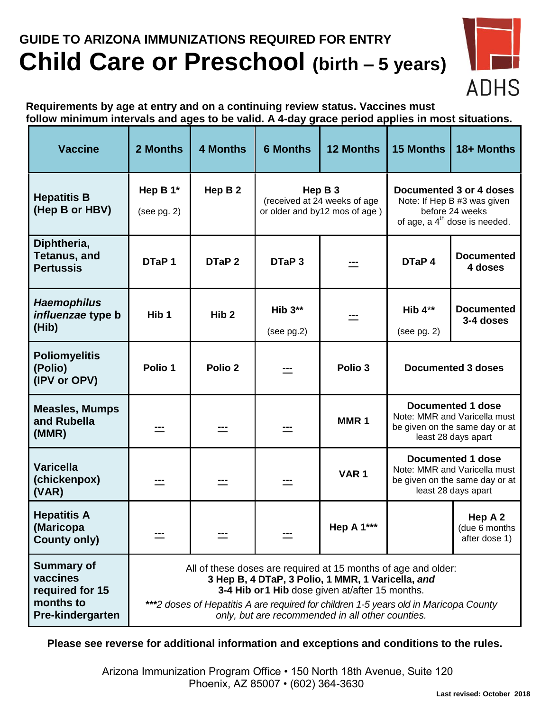## **GUIDE TO ARIZONA IMMUNIZATIONS REQUIRED FOR ENTRY Child Care or Preschool (birth – 5 years)**



**Requirements by age at entry and on a continuing review status. Vaccines must follow minimum intervals and ages to be valid. A 4-day grace period applies in most situations.**

| <b>Vaccine</b>                                                                    | 2 Months                                                                                                                                                                                                                                                                                                           | <b>4 Months</b>    | <b>6 Months</b>                                                          | <b>12 Months</b>  | <b>15 Months</b>                                                                                                       | 18+ Months                                |
|-----------------------------------------------------------------------------------|--------------------------------------------------------------------------------------------------------------------------------------------------------------------------------------------------------------------------------------------------------------------------------------------------------------------|--------------------|--------------------------------------------------------------------------|-------------------|------------------------------------------------------------------------------------------------------------------------|-------------------------------------------|
| <b>Hepatitis B</b><br>(Hep B or HBV)                                              | Hep B $1*$<br>(see pg. 2)                                                                                                                                                                                                                                                                                          | Hep B 2            | Hep B 3<br>(received at 24 weeks of age<br>or older and by12 mos of age) |                   | Documented 3 or 4 doses<br>Note: If Hep B #3 was given<br>before 24 weeks<br>of age, a 4 <sup>th</sup> dose is needed. |                                           |
| Diphtheria,<br><b>Tetanus, and</b><br><b>Pertussis</b>                            | DTaP <sub>1</sub>                                                                                                                                                                                                                                                                                                  | DTaP 2             | DTaP <sub>3</sub>                                                        |                   | DTaP 4                                                                                                                 | <b>Documented</b><br>4 doses              |
| <b>Haemophilus</b><br>influenzae type b<br>(Hib)                                  | Hib <sub>1</sub>                                                                                                                                                                                                                                                                                                   | Hib <sub>2</sub>   | Hib $3**$<br>(see pg.2)                                                  |                   | Hib $4**$<br>(see pg. 2)                                                                                               | <b>Documented</b><br>3-4 doses            |
| <b>Poliomyelitis</b><br>(Polio)<br>(IPV or OPV)                                   | Polio 1                                                                                                                                                                                                                                                                                                            | Polio <sub>2</sub> |                                                                          | Polio 3           | <b>Documented 3 doses</b>                                                                                              |                                           |
| <b>Measles, Mumps</b><br>and Rubella<br>(MMR)                                     |                                                                                                                                                                                                                                                                                                                    |                    |                                                                          | MMR <sub>1</sub>  | <b>Documented 1 dose</b><br>Note: MMR and Varicella must<br>be given on the same day or at<br>least 28 days apart      |                                           |
| <b>Varicella</b><br>(chickenpox)<br>(VAR)                                         |                                                                                                                                                                                                                                                                                                                    |                    |                                                                          | VAR <sub>1</sub>  | <b>Documented 1 dose</b><br>Note: MMR and Varicella must<br>be given on the same day or at<br>least 28 days apart      |                                           |
| <b>Hepatitis A</b><br>(Maricopa<br><b>County only)</b>                            |                                                                                                                                                                                                                                                                                                                    |                    |                                                                          | <b>Hep A 1***</b> |                                                                                                                        | Hep A 2<br>(due 6 months<br>after dose 1) |
| <b>Summary of</b><br>vaccines<br>required for 15<br>months to<br>Pre-kindergarten | All of these doses are required at 15 months of age and older:<br>3 Hep B, 4 DTaP, 3 Polio, 1 MMR, 1 Varicella, and<br>3-4 Hib or 1 Hib dose given at/after 15 months.<br>***2 doses of Hepatitis A are required for children 1-5 years old in Maricopa County<br>only, but are recommended in all other counties. |                    |                                                                          |                   |                                                                                                                        |                                           |

**Please see reverse for additional information and exceptions and conditions to the rules.**

 Arizona Immunization Program Office • 150 North 18th Avenue, Suite 120 Phoenix, AZ 85007 • (602) 364-3630